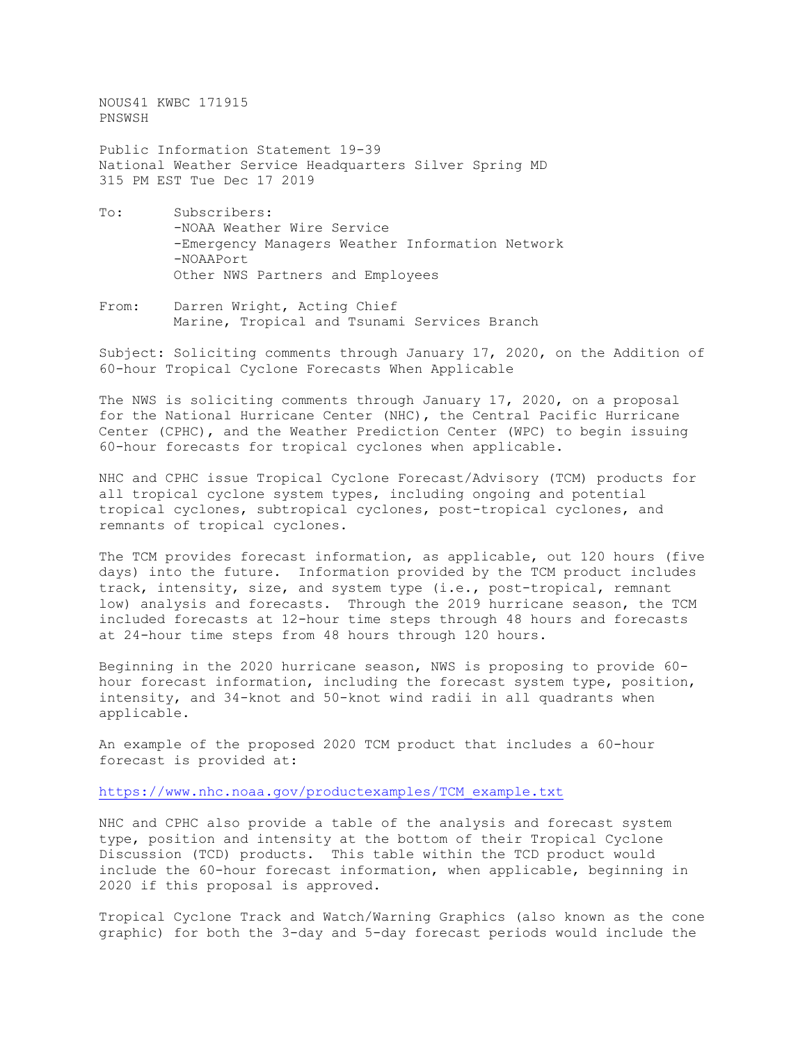NOUS41 KWBC 171915 PNSWSH

Public Information Statement 19-39 National Weather Service Headquarters Silver Spring MD 315 PM EST Tue Dec 17 2019

- To: Subscribers: -NOAA Weather Wire Service -Emergency Managers Weather Information Network -NOAAPort Other NWS Partners and Employees
- From: Darren Wright, Acting Chief Marine, Tropical and Tsunami Services Branch

Subject: Soliciting comments through January 17, 2020, on the Addition of 60-hour Tropical Cyclone Forecasts When Applicable

The NWS is soliciting comments through January 17, 2020, on a proposal for the National Hurricane Center (NHC), the Central Pacific Hurricane Center (CPHC), and the Weather Prediction Center (WPC) to begin issuing 60-hour forecasts for tropical cyclones when applicable.

NHC and CPHC issue Tropical Cyclone Forecast/Advisory (TCM) products for all tropical cyclone system types, including ongoing and potential tropical cyclones, subtropical cyclones, post-tropical cyclones, and remnants of tropical cyclones.

The TCM provides forecast information, as applicable, out 120 hours (five days) into the future. Information provided by the TCM product includes track, intensity, size, and system type (i.e., post-tropical, remnant low) analysis and forecasts. Through the 2019 hurricane season, the TCM included forecasts at 12-hour time steps through 48 hours and forecasts at 24-hour time steps from 48 hours through 120 hours.

Beginning in the 2020 hurricane season, NWS is proposing to provide 60 hour forecast information, including the forecast system type, position, intensity, and 34-knot and 50-knot wind radii in all quadrants when applicable.

An example of the proposed 2020 TCM product that includes a 60-hour forecast is provided at:

[https://www.nhc.noaa.gov/productexamples/TCM\\_example.txt](https://www.nhc.noaa.gov/productexamples/TCM_example.txt)

NHC and CPHC also provide a table of the analysis and forecast system type, position and intensity at the bottom of their Tropical Cyclone Discussion (TCD) products. This table within the TCD product would include the 60-hour forecast information, when applicable, beginning in 2020 if this proposal is approved.

Tropical Cyclone Track and Watch/Warning Graphics (also known as the cone graphic) for both the 3-day and 5-day forecast periods would include the